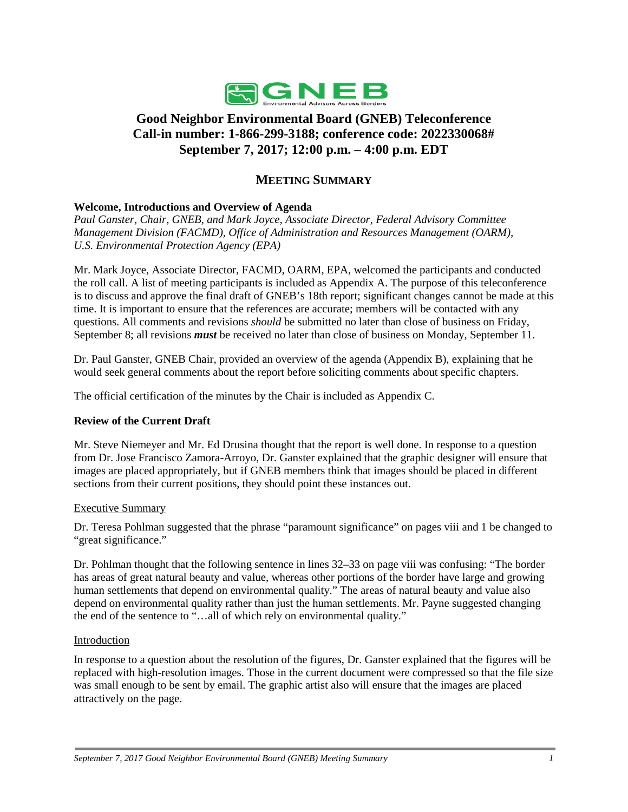

# **Good Neighbor Environmental Board (GNEB) Teleconference Call-in number: 1-866-299-3188; conference code: 2022330068# September 7, 2017; 12:00 p.m. – 4:00 p.m. EDT**

# **MEETING SUMMARY**

### **Welcome, Introductions and Overview of Agenda**

*Paul Ganster, Chair, GNEB, and Mark Joyce, Associate Director, Federal Advisory Committee Management Division (FACMD), Office of Administration and Resources Management (OARM), U.S. Environmental Protection Agency (EPA)*

Mr. Mark Joyce, Associate Director, FACMD, OARM, EPA, welcomed the participants and conducted the roll call. A list of meeting participants is included as Appendix A. The purpose of this teleconference is to discuss and approve the final draft of GNEB's 18th report; significant changes cannot be made at this time. It is important to ensure that the references are accurate; members will be contacted with any questions. All comments and revisions *should* be submitted no later than close of business on Friday, September 8; all revisions *must* be received no later than close of business on Monday, September 11.

Dr. Paul Ganster, GNEB Chair, provided an overview of the agenda (Appendix B), explaining that he would seek general comments about the report before soliciting comments about specific chapters.

The official certification of the minutes by the Chair is included as Appendix C.

### **Review of the Current Draft**

Mr. Steve Niemeyer and Mr. Ed Drusina thought that the report is well done. In response to a question from Dr. Jose Francisco Zamora-Arroyo, Dr. Ganster explained that the graphic designer will ensure that images are placed appropriately, but if GNEB members think that images should be placed in different sections from their current positions, they should point these instances out.

#### Executive Summary

Dr. Teresa Pohlman suggested that the phrase "paramount significance" on pages viii and 1 be changed to "great significance."

Dr. Pohlman thought that the following sentence in lines 32–33 on page viii was confusing: "The border has areas of great natural beauty and value, whereas other portions of the border have large and growing human settlements that depend on environmental quality." The areas of natural beauty and value also depend on environmental quality rather than just the human settlements. Mr. Payne suggested changing the end of the sentence to "…all of which rely on environmental quality."

#### Introduction

In response to a question about the resolution of the figures, Dr. Ganster explained that the figures will be replaced with high-resolution images. Those in the current document were compressed so that the file size was small enough to be sent by email. The graphic artist also will ensure that the images are placed attractively on the page.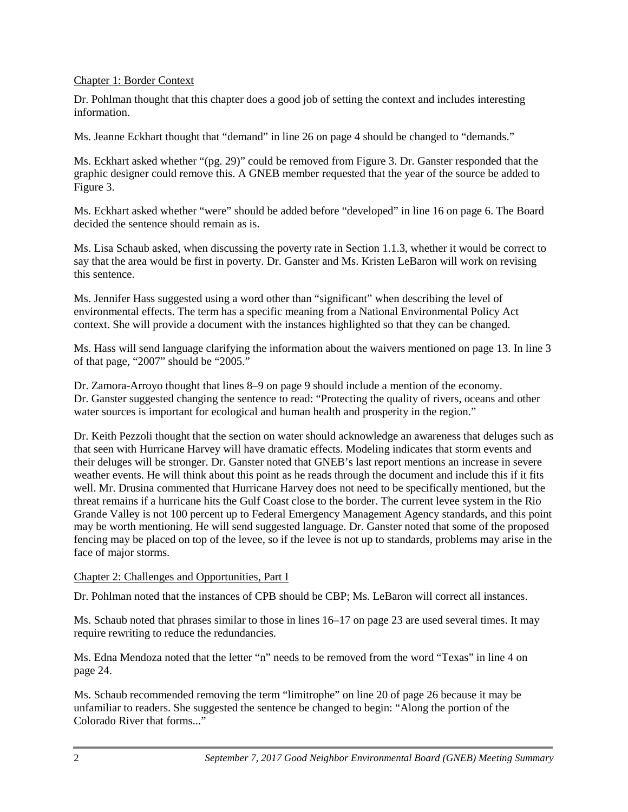### Chapter 1: Border Context

Dr. Pohlman thought that this chapter does a good job of setting the context and includes interesting information.

Ms. Jeanne Eckhart thought that "demand" in line 26 on page 4 should be changed to "demands."

Ms. Eckhart asked whether "(pg. 29)" could be removed from Figure 3. Dr. Ganster responded that the graphic designer could remove this. A GNEB member requested that the year of the source be added to Figure 3.

Ms. Eckhart asked whether "were" should be added before "developed" in line 16 on page 6. The Board decided the sentence should remain as is.

Ms. Lisa Schaub asked, when discussing the poverty rate in Section 1.1.3, whether it would be correct to say that the area would be first in poverty. Dr. Ganster and Ms. Kristen LeBaron will work on revising this sentence.

Ms. Jennifer Hass suggested using a word other than "significant" when describing the level of environmental effects. The term has a specific meaning from a National Environmental Policy Act context. She will provide a document with the instances highlighted so that they can be changed.

Ms. Hass will send language clarifying the information about the waivers mentioned on page 13. In line 3 of that page, "2007" should be "2005."

Dr. Zamora-Arroyo thought that lines 8–9 on page 9 should include a mention of the economy. Dr. Ganster suggested changing the sentence to read: "Protecting the quality of rivers, oceans and other water sources is important for ecological and human health and prosperity in the region."

Dr. Keith Pezzoli thought that the section on water should acknowledge an awareness that deluges such as that seen with Hurricane Harvey will have dramatic effects. Modeling indicates that storm events and their deluges will be stronger. Dr. Ganster noted that GNEB's last report mentions an increase in severe weather events. He will think about this point as he reads through the document and include this if it fits well. Mr. Drusina commented that Hurricane Harvey does not need to be specifically mentioned, but the threat remains if a hurricane hits the Gulf Coast close to the border. The current levee system in the Rio Grande Valley is not 100 percent up to Federal Emergency Management Agency standards, and this point may be worth mentioning. He will send suggested language. Dr. Ganster noted that some of the proposed fencing may be placed on top of the levee, so if the levee is not up to standards, problems may arise in the face of major storms.

#### Chapter 2: Challenges and Opportunities, Part I

Dr. Pohlman noted that the instances of CPB should be CBP; Ms. LeBaron will correct all instances.

Ms. Schaub noted that phrases similar to those in lines 16–17 on page 23 are used several times. It may require rewriting to reduce the redundancies.

Ms. Edna Mendoza noted that the letter "n" needs to be removed from the word "Texas" in line 4 on page 24.

Ms. Schaub recommended removing the term "limitrophe" on line 20 of page 26 because it may be unfamiliar to readers. She suggested the sentence be changed to begin: "Along the portion of the Colorado River that forms..."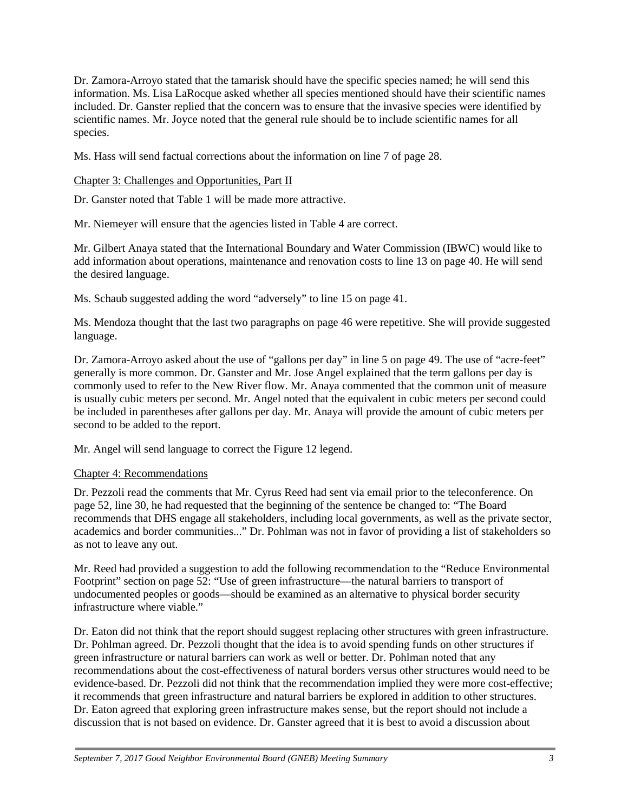Dr. Zamora-Arroyo stated that the tamarisk should have the specific species named; he will send this information. Ms. Lisa LaRocque asked whether all species mentioned should have their scientific names included. Dr. Ganster replied that the concern was to ensure that the invasive species were identified by scientific names. Mr. Joyce noted that the general rule should be to include scientific names for all species.

Ms. Hass will send factual corrections about the information on line 7 of page 28.

Chapter 3: Challenges and Opportunities, Part II

Dr. Ganster noted that Table 1 will be made more attractive.

Mr. Niemeyer will ensure that the agencies listed in Table 4 are correct.

Mr. Gilbert Anaya stated that the International Boundary and Water Commission (IBWC) would like to add information about operations, maintenance and renovation costs to line 13 on page 40. He will send the desired language.

Ms. Schaub suggested adding the word "adversely" to line 15 on page 41.

Ms. Mendoza thought that the last two paragraphs on page 46 were repetitive. She will provide suggested language.

Dr. Zamora-Arroyo asked about the use of "gallons per day" in line 5 on page 49. The use of "acre-feet" generally is more common. Dr. Ganster and Mr. Jose Angel explained that the term gallons per day is commonly used to refer to the New River flow. Mr. Anaya commented that the common unit of measure is usually cubic meters per second. Mr. Angel noted that the equivalent in cubic meters per second could be included in parentheses after gallons per day. Mr. Anaya will provide the amount of cubic meters per second to be added to the report.

Mr. Angel will send language to correct the Figure 12 legend.

#### Chapter 4: Recommendations

Dr. Pezzoli read the comments that Mr. Cyrus Reed had sent via email prior to the teleconference. On page 52, line 30, he had requested that the beginning of the sentence be changed to: "The Board recommends that DHS engage all stakeholders, including local governments, as well as the private sector, academics and border communities..." Dr. Pohlman was not in favor of providing a list of stakeholders so as not to leave any out.

Mr. Reed had provided a suggestion to add the following recommendation to the "Reduce Environmental Footprint" section on page 52: "Use of green infrastructure—the natural barriers to transport of undocumented peoples or goods—should be examined as an alternative to physical border security infrastructure where viable."

Dr. Eaton did not think that the report should suggest replacing other structures with green infrastructure. Dr. Pohlman agreed. Dr. Pezzoli thought that the idea is to avoid spending funds on other structures if green infrastructure or natural barriers can work as well or better. Dr. Pohlman noted that any recommendations about the cost-effectiveness of natural borders versus other structures would need to be evidence-based. Dr. Pezzoli did not think that the recommendation implied they were more cost-effective; it recommends that green infrastructure and natural barriers be explored in addition to other structures. Dr. Eaton agreed that exploring green infrastructure makes sense, but the report should not include a discussion that is not based on evidence. Dr. Ganster agreed that it is best to avoid a discussion about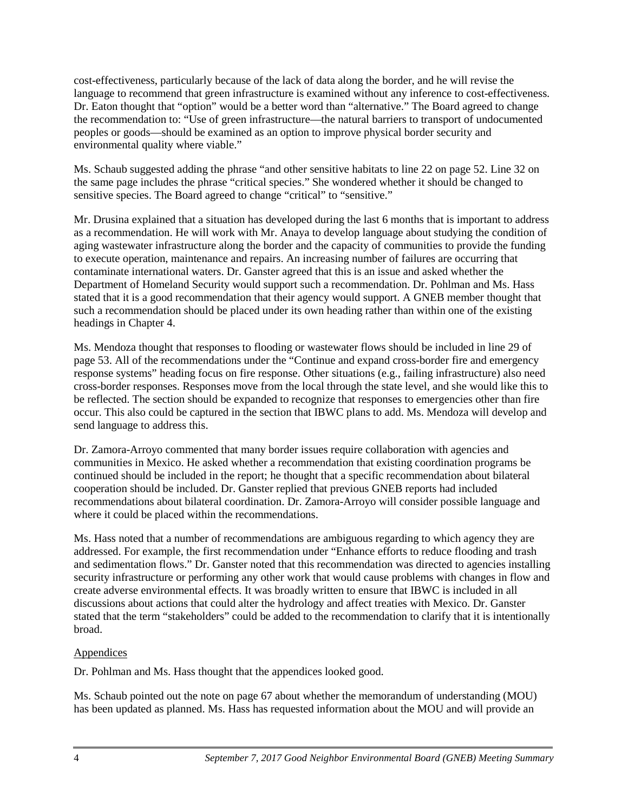cost-effectiveness, particularly because of the lack of data along the border, and he will revise the language to recommend that green infrastructure is examined without any inference to cost-effectiveness. Dr. Eaton thought that "option" would be a better word than "alternative." The Board agreed to change the recommendation to: "Use of green infrastructure—the natural barriers to transport of undocumented peoples or goods—should be examined as an option to improve physical border security and environmental quality where viable."

Ms. Schaub suggested adding the phrase "and other sensitive habitats to line 22 on page 52. Line 32 on the same page includes the phrase "critical species." She wondered whether it should be changed to sensitive species. The Board agreed to change "critical" to "sensitive."

Mr. Drusina explained that a situation has developed during the last 6 months that is important to address as a recommendation. He will work with Mr. Anaya to develop language about studying the condition of aging wastewater infrastructure along the border and the capacity of communities to provide the funding to execute operation, maintenance and repairs. An increasing number of failures are occurring that contaminate international waters. Dr. Ganster agreed that this is an issue and asked whether the Department of Homeland Security would support such a recommendation. Dr. Pohlman and Ms. Hass stated that it is a good recommendation that their agency would support. A GNEB member thought that such a recommendation should be placed under its own heading rather than within one of the existing headings in Chapter 4.

Ms. Mendoza thought that responses to flooding or wastewater flows should be included in line 29 of page 53. All of the recommendations under the "Continue and expand cross-border fire and emergency response systems" heading focus on fire response. Other situations (e.g., failing infrastructure) also need cross-border responses. Responses move from the local through the state level, and she would like this to be reflected. The section should be expanded to recognize that responses to emergencies other than fire occur. This also could be captured in the section that IBWC plans to add. Ms. Mendoza will develop and send language to address this.

Dr. Zamora-Arroyo commented that many border issues require collaboration with agencies and communities in Mexico. He asked whether a recommendation that existing coordination programs be continued should be included in the report; he thought that a specific recommendation about bilateral cooperation should be included. Dr. Ganster replied that previous GNEB reports had included recommendations about bilateral coordination. Dr. Zamora-Arroyo will consider possible language and where it could be placed within the recommendations.

Ms. Hass noted that a number of recommendations are ambiguous regarding to which agency they are addressed. For example, the first recommendation under "Enhance efforts to reduce flooding and trash and sedimentation flows." Dr. Ganster noted that this recommendation was directed to agencies installing security infrastructure or performing any other work that would cause problems with changes in flow and create adverse environmental effects. It was broadly written to ensure that IBWC is included in all discussions about actions that could alter the hydrology and affect treaties with Mexico. Dr. Ganster stated that the term "stakeholders" could be added to the recommendation to clarify that it is intentionally broad.

### **Appendices**

Dr. Pohlman and Ms. Hass thought that the appendices looked good.

Ms. Schaub pointed out the note on page 67 about whether the memorandum of understanding (MOU) has been updated as planned. Ms. Hass has requested information about the MOU and will provide an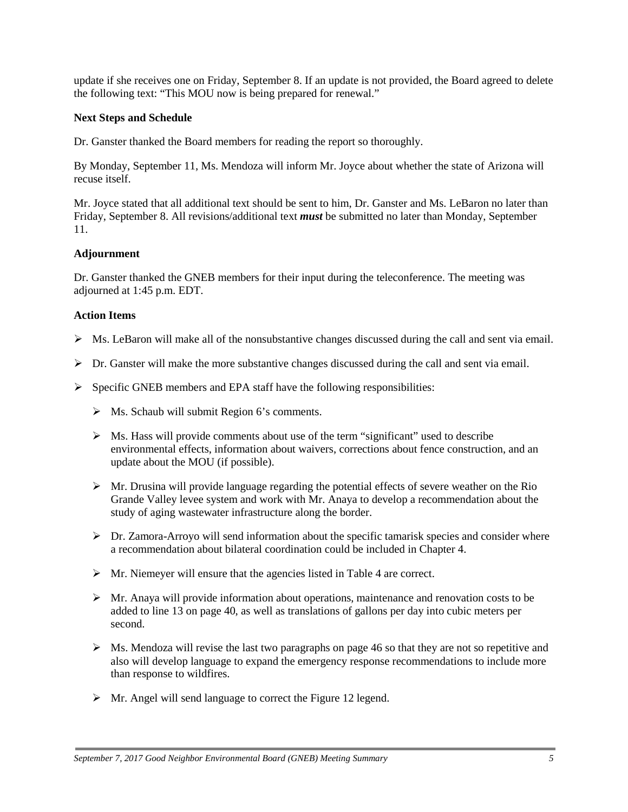update if she receives one on Friday, September 8. If an update is not provided, the Board agreed to delete the following text: "This MOU now is being prepared for renewal."

### **Next Steps and Schedule**

Dr. Ganster thanked the Board members for reading the report so thoroughly.

By Monday, September 11, Ms. Mendoza will inform Mr. Joyce about whether the state of Arizona will recuse itself.

Mr. Joyce stated that all additional text should be sent to him, Dr. Ganster and Ms. LeBaron no later than Friday, September 8. All revisions/additional text *must* be submitted no later than Monday, September 11.

### **Adjournment**

Dr. Ganster thanked the GNEB members for their input during the teleconference. The meeting was adjourned at 1:45 p.m. EDT.

### **Action Items**

- $\triangleright$  Ms. LeBaron will make all of the nonsubstantive changes discussed during the call and sent via email.
- $\triangleright$  Dr. Ganster will make the more substantive changes discussed during the call and sent via email.
- $\triangleright$  Specific GNEB members and EPA staff have the following responsibilities:
	- $\triangleright$  Ms. Schaub will submit Region 6's comments.
	- $\triangleright$  Ms. Hass will provide comments about use of the term "significant" used to describe environmental effects, information about waivers, corrections about fence construction, and an update about the MOU (if possible).
	- $\triangleright$  Mr. Drusina will provide language regarding the potential effects of severe weather on the Rio Grande Valley levee system and work with Mr. Anaya to develop a recommendation about the study of aging wastewater infrastructure along the border.
	- $\triangleright$  Dr. Zamora-Arroyo will send information about the specific tamarisk species and consider where a recommendation about bilateral coordination could be included in Chapter 4.
	- $\triangleright$  Mr. Niemeyer will ensure that the agencies listed in Table 4 are correct.
	- $\triangleright$  Mr. Anaya will provide information about operations, maintenance and renovation costs to be added to line 13 on page 40, as well as translations of gallons per day into cubic meters per second.
	- $\triangleright$  Ms. Mendoza will revise the last two paragraphs on page 46 so that they are not so repetitive and also will develop language to expand the emergency response recommendations to include more than response to wildfires.
	- $\triangleright$  Mr. Angel will send language to correct the Figure 12 legend.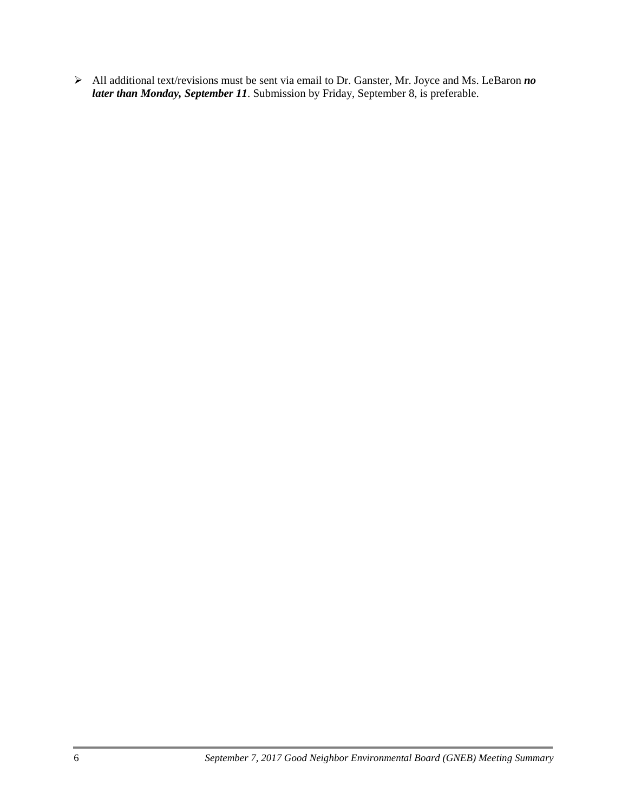All additional text/revisions must be sent via email to Dr. Ganster, Mr. Joyce and Ms. LeBaron *no later than Monday, September 11*. Submission by Friday, September 8, is preferable.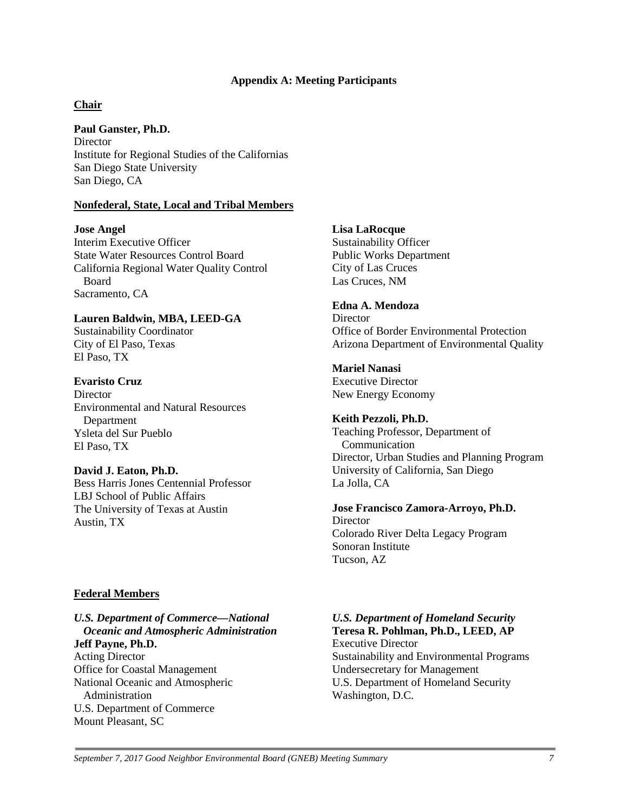#### **Appendix A: Meeting Participants**

#### **Chair**

**Paul Ganster, Ph.D. Director** Institute for Regional Studies of the Californias San Diego State University San Diego, CA

#### **Nonfederal, State, Local and Tribal Members**

#### **Jose Angel**

Interim Executive Officer State Water Resources Control Board California Regional Water Quality Control Board Sacramento, CA

### **Lauren Baldwin, MBA, LEED-GA**

Sustainability Coordinator City of El Paso, Texas El Paso, TX

#### **Evaristo Cruz**

**Director** Environmental and Natural Resources **Department** Ysleta del Sur Pueblo El Paso, TX

#### **David J. Eaton, Ph.D.**

Bess Harris Jones Centennial Professor LBJ School of Public Affairs The University of Texas at Austin Austin, TX

#### **Federal Members**

#### *U.S. Department of Commerce—National Oceanic and Atmospheric Administration* **Jeff Payne, Ph.D.**

Acting Director Office for Coastal Management National Oceanic and Atmospheric Administration U.S. Department of Commerce Mount Pleasant, SC

#### **Lisa LaRocque**

Sustainability Officer Public Works Department City of Las Cruces Las Cruces, NM

# **Edna A. Mendoza**

**Director** Office of Border Environmental Protection Arizona Department of Environmental Quality

#### **Mariel Nanasi**

Executive Director New Energy Economy

#### **Keith Pezzoli, Ph.D.**

Teaching Professor, Department of Communication Director, Urban Studies and Planning Program University of California, San Diego La Jolla, CA

#### **Jose Francisco Zamora-Arroyo, Ph.D. Director**

Colorado River Delta Legacy Program Sonoran Institute Tucson, AZ

# *U.S. Department of Homeland Security*  **Teresa R. Pohlman, Ph.D., LEED, AP**

Executive Director Sustainability and Environmental Programs Undersecretary for Management U.S. Department of Homeland Security Washington, D.C.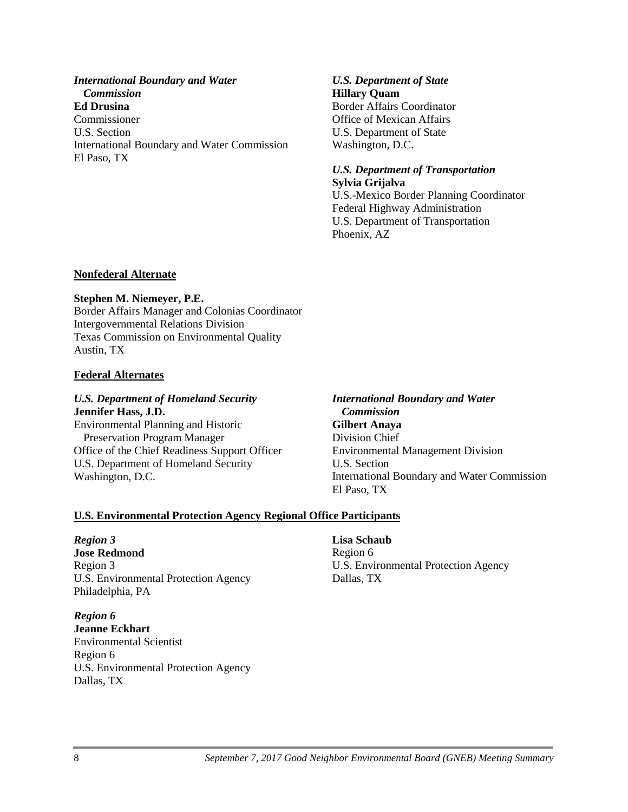*International Boundary and Water Commission* **Ed Drusina** Commissioner U.S. Section International Boundary and Water Commission El Paso, TX

#### *U.S. Department of State* **Hillary Quam**

Border Affairs Coordinator Office of Mexican Affairs U.S. Department of State Washington, D.C.

### *U.S. Department of Transportation* **Sylvia Grijalva**

U.S.-Mexico Border Planning Coordinator Federal Highway Administration U.S. Department of Transportation Phoenix, AZ

### **Nonfederal Alternate**

### **Stephen M. Niemeyer, P.E.**

Border Affairs Manager and Colonias Coordinator Intergovernmental Relations Division Texas Commission on Environmental Quality Austin, TX

### **Federal Alternates**

### *U.S. Department of Homeland Security* **Jennifer Hass, J.D.**

Environmental Planning and Historic Preservation Program Manager Office of the Chief Readiness Support Officer U.S. Department of Homeland Security Washington, D.C.

### *International Boundary and Water Commission* **Gilbert Anaya** Division Chief Environmental Management Division U.S. Section International Boundary and Water Commission El Paso, TX

# **U.S. Environmental Protection Agency Regional Office Participants**

### *Region 3*

**Jose Redmond** Region 3 U.S. Environmental Protection Agency Philadelphia, PA

### *Region 6*

**Jeanne Eckhart** Environmental Scientist Region 6 U.S. Environmental Protection Agency Dallas, TX

### **Lisa Schaub**

Region 6 U.S. Environmental Protection Agency Dallas, TX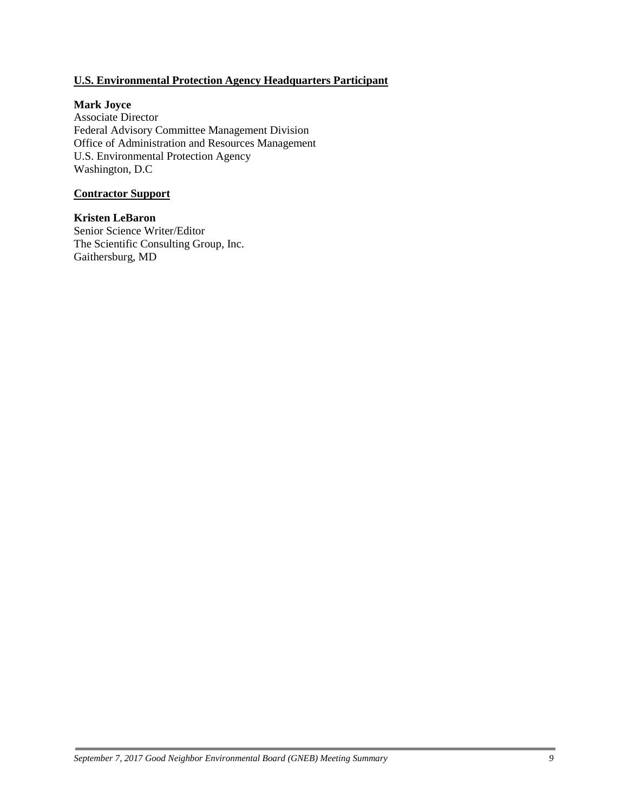## **U.S. Environmental Protection Agency Headquarters Participant**

#### **Mark Joyce**

Associate Director Federal Advisory Committee Management Division Office of Administration and Resources Management U.S. Environmental Protection Agency Washington, D.C

### **Contractor Support**

**Kristen LeBaron** Senior Science Writer/Editor The Scientific Consulting Group, Inc. Gaithersburg, MD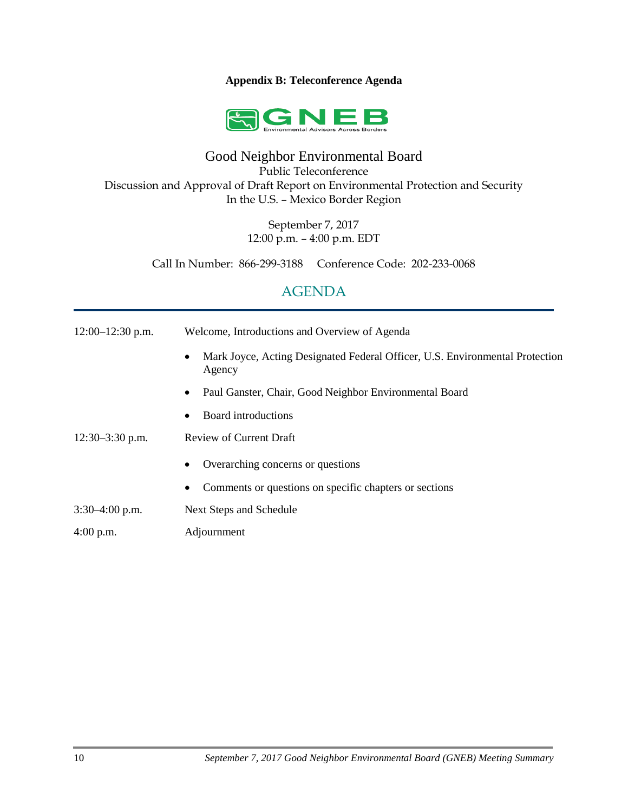#### **Appendix B: Teleconference Agenda**



# Good Neighbor Environmental Board

Public Teleconference

Discussion and Approval of Draft Report on Environmental Protection and Security In the U.S. – Mexico Border Region

> September 7, 2017 12:00 p.m. – 4:00 p.m. EDT

Call In Number: 866-299-3188 Conference Code: 202-233-0068

# AGENDA

| $12:00-12:30$ p.m. | Welcome, Introductions and Overview of Agenda                                                       |
|--------------------|-----------------------------------------------------------------------------------------------------|
|                    | Mark Joyce, Acting Designated Federal Officer, U.S. Environmental Protection<br>$\bullet$<br>Agency |
|                    | Paul Ganster, Chair, Good Neighbor Environmental Board<br>$\bullet$                                 |
|                    | Board introductions<br>٠                                                                            |
| $12:30-3:30$ p.m.  | Review of Current Draft                                                                             |
|                    | Overarching concerns or questions<br>٠                                                              |
|                    | Comments or questions on specific chapters or sections                                              |
| $3:30-4:00$ p.m.   | Next Steps and Schedule                                                                             |
| $4:00$ p.m.        | Adjournment                                                                                         |